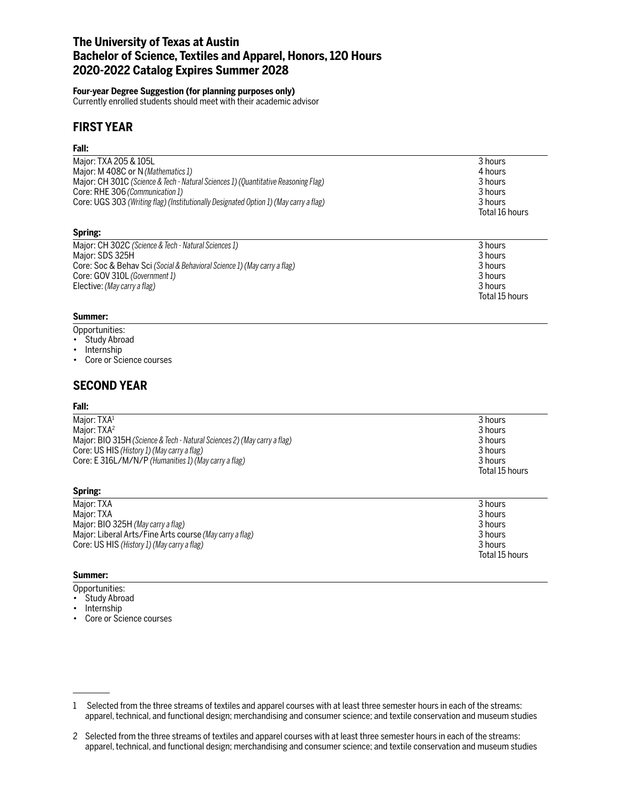## **The University of Texas at Austin Bachelor of Science, Textiles and Apparel, Honors, 120 Hours 2020-2022 Catalog Expires Summer 2028**

### **Four-year Degree Suggestion (for planning purposes only)**

Currently enrolled students should meet with their academic advisor

## **FIRST YEAR**

### **Fall:**

| Major: TXA 205 & 105L                                                                 | 3 hours        |
|---------------------------------------------------------------------------------------|----------------|
| Major: M 408C or N (Mathematics 1)                                                    | 4 hours        |
| Major: CH 301C (Science & Tech - Natural Sciences 1) (Quantitative Reasoning Flag)    | 3 hours        |
| Core: RHE 306 (Communication 1)                                                       | 3 hours        |
| Core: UGS 303 (Writing flag) (Institutionally Designated Option 1) (May carry a flag) | 3 hours        |
|                                                                                       | Total 16 hours |
| Spring:                                                                               |                |
| Major: CH 302C (Science & Tech - Natural Sciences 1)                                  | 3 hours        |
| Major: SDS 325H                                                                       | 3 hours        |
| Core: Soc & Behav Sci (Social & Behavioral Science 1) (May carry a flag)              | 3 hours        |
| Core: GOV 310L (Government 1)                                                         | 3 hours        |

Total 15 hours

Elective: *(May carry a flag)* 3 hours

### **Summer:**

- Opportunities:
- Study Abroad
- Internship
- Core or Science courses

### **SECOND YEAR**

### **Fall:**

| Maior: TXA <sup>1</sup>                                                  | 3 hours        |
|--------------------------------------------------------------------------|----------------|
| Maior: TXA <sup>2</sup>                                                  | 3 hours        |
| Major: BIO 315H (Science & Tech - Natural Sciences 2) (May carry a flag) | 3 hours        |
| Core: US HIS (History 1) (May carry a flag)                              | 3 hours        |
| Core: E 316L/M/N/P (Humanities 1) (May carry a flag)                     | 3 hours        |
|                                                                          | Total 15 hours |

### **Spring:**

| Major: TXA                                              | 3 hours        |
|---------------------------------------------------------|----------------|
| Major: TXA                                              | 3 hours        |
| Major: BIO 325H (May carry a flag)                      | 3 hours        |
| Major: Liberal Arts/Fine Arts course (May carry a flag) | 3 hours        |
| Core: US HIS (History 1) (May carry a flag)             | 3 hours        |
|                                                         | Total 15 hours |

### **Summer:**

- Opportunities:
- Study Abroad
- Internship
- Core or Science courses

<sup>1</sup> Selected from the three streams of textiles and apparel courses with at least three semester hours in each of the streams: apparel, technical, and functional design; merchandising and consumer science; and textile conservation and museum studies

<sup>2</sup> Selected from the three streams of textiles and apparel courses with at least three semester hours in each of the streams: apparel, technical, and functional design; merchandising and consumer science; and textile conservation and museum studies